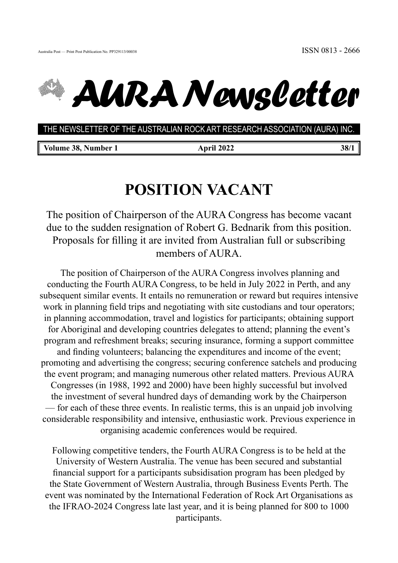



## *AURA Newsletter*

**THE NEWSLETTER OF THE AUSTRALIAN ROCK ART RESEARCH ASSOCIATION (AURA) INC.** THE NEWSLETTER OF THE AUSTRALIAN ROCK ART RESEARCH ASSOCIATION (AURA) INC.

| Volume 38, Number 1 |  |
|---------------------|--|
|---------------------|--|

**April 2022** 38/1

## **POSITION VACANT**

The position of Chairperson of the AURA Congress has become vacant due to the sudden resignation of Robert G. Bednarik from this position. Proposals for filling it are invited from Australian full or subscribing members of AURA.

 The position of Chairperson of the AURA Congress involves planning and conducting the Fourth AURA Congress, to be held in July 2022 in Perth, and any subsequent similar events. It entails no remuneration or reward but requires intensive work in planning field trips and negotiating with site custodians and tour operators; in planning accommodation, travel and logistics for participants; obtaining support for Aboriginal and developing countries delegates to attend; planning the event's program and refreshment breaks; securing insurance, forming a support committee and finding volunteers; balancing the expenditures and income of the event; promoting and advertising the congress; securing conference satchels and producing the event program; and managing numerous other related matters. Previous AURA Congresses (in 1988, 1992 and 2000) have been highly successful but involved the investment of several hundred days of demanding work by the Chairperson — for each of these three events. In realistic terms, this is an unpaid job involving considerable responsibility and intensive, enthusiastic work. Previous experience in organising academic conferences would be required.

Following competitive tenders, the Fourth AURA Congress is to be held at the University of Western Australia. The venue has been secured and substantial financial support for a participants subsidisation program has been pledged by the State Government of Western Australia, through Business Events Perth. The event was nominated by the International Federation of Rock Art Organisations as the IFRAO-2024 Congress late last year, and it is being planned for 800 to 1000 participants.